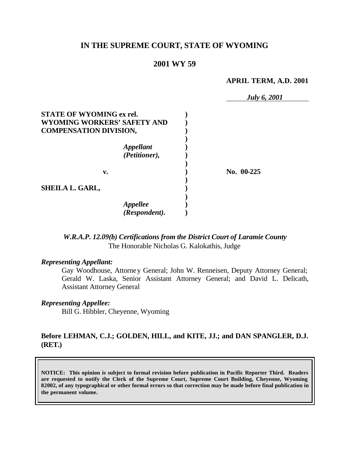# **IN THE SUPREME COURT, STATE OF WYOMING**

# **2001 WY 59**

#### **APRIL TERM, A.D. 2001**

|                                 | <b>July 6, 2001</b> |
|---------------------------------|---------------------|
| <b>STATE OF WYOMING ex rel.</b> |                     |
| WYOMING WORKERS' SAFETY AND     |                     |
| <b>COMPENSATION DIVISION,</b>   |                     |
|                                 |                     |
| <b>Appellant</b>                |                     |
| (Petitioner),                   |                     |
| v.                              | No. 00-225          |
| SHEILA L. GARL,                 |                     |
| <b>Appellee</b>                 |                     |
| (Respondent).                   |                     |

*W.R.A.P. 12.09(b) Certifications from the District Court of Laramie County* The Honorable Nicholas G. Kalokathis, Judge

### *Representing Appellant:*

Gay Woodhouse, Attorney General; John W. Renneisen, Deputy Attorney General; Gerald W. Laska, Senior Assistant Attorney General; and David L. Delicath, Assistant Attorney General

## *Representing Appellee:*

Bill G. Hibbler, Cheyenne, Wyoming

# **Before LEHMAN, C.J.; GOLDEN, HILL, and KITE, JJ.; and DAN SPANGLER, D.J. (RET.)**

**NOTICE: This opinion is subject to formal revision before publication in Pacific Reporter Third. Readers are requested to notify the Clerk of the Supreme Court, Supreme Court Building, Cheyenne, Wyoming 82002, of any typographical or other formal errors so that correction may be made before final publication in the permanent volume.**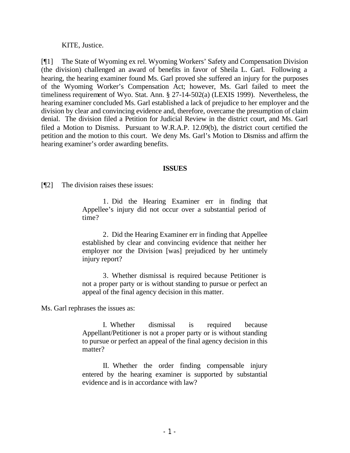KITE, Justice.

[¶1] The State of Wyoming ex rel. Wyoming Workers' Safety and Compensation Division (the division) challenged an award of benefits in favor of Sheila L. Garl. Following a hearing, the hearing examiner found Ms. Garl proved she suffered an injury for the purposes of the Wyoming Worker's Compensation Act; however, Ms. Garl failed to meet the timeliness requirement of Wyo. Stat. Ann. § 27-14-502(a) (LEXIS 1999). Nevertheless, the hearing examiner concluded Ms. Garl established a lack of prejudice to her employer and the division by clear and convincing evidence and, therefore, overcame the presumption of claim denial. The division filed a Petition for Judicial Review in the district court, and Ms. Garl filed a Motion to Dismiss. Pursuant to W.R.A.P. 12.09(b), the district court certified the petition and the motion to this court. We deny Ms. Garl's Motion to Dismiss and affirm the hearing examiner's order awarding benefits.

## **ISSUES**

[¶2] The division raises these issues:

1. Did the Hearing Examiner err in finding that Appellee's injury did not occur over a substantial period of time?

2. Did the Hearing Examiner err in finding that Appellee established by clear and convincing evidence that neither her employer nor the Division [was] prejudiced by her untimely injury report?

3. Whether dismissal is required because Petitioner is not a proper party or is without standing to pursue or perfect an appeal of the final agency decision in this matter.

Ms. Garl rephrases the issues as:

I. Whether dismissal is required because Appellant/Petitioner is not a proper party or is without standing to pursue or perfect an appeal of the final agency decision in this matter?

II. Whether the order finding compensable injury entered by the hearing examiner is supported by substantial evidence and is in accordance with law?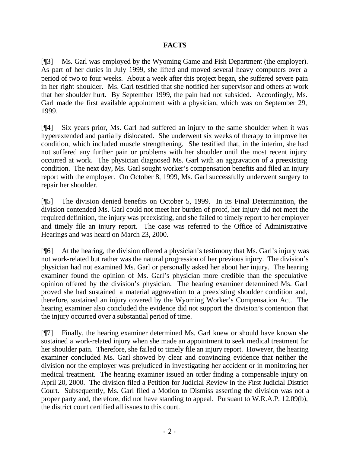# **FACTS**

[¶3] Ms. Garl was employed by the Wyoming Game and Fish Department (the employer). As part of her duties in July 1999, she lifted and moved several heavy computers over a period of two to four weeks. About a week after this project began, she suffered severe pain in her right shoulder. Ms. Garl testified that she notified her supervisor and others at work that her shoulder hurt. By September 1999, the pain had not subsided. Accordingly, Ms. Garl made the first available appointment with a physician, which was on September 29, 1999.

[¶4] Six years prior, Ms. Garl had suffered an injury to the same shoulder when it was hyperextended and partially dislocated. She underwent six weeks of therapy to improve her condition, which included muscle strengthening. She testified that, in the interim, she had not suffered any further pain or problems with her shoulder until the most recent injury occurred at work. The physician diagnosed Ms. Garl with an aggravation of a preexisting condition. The next day, Ms. Garl sought worker's compensation benefits and filed an injury report with the employer. On October 8, 1999, Ms. Garl successfully underwent surgery to repair her shoulder.

[¶5] The division denied benefits on October 5, 1999. In its Final Determination, the division contended Ms. Garl could not meet her burden of proof, her injury did not meet the required definition, the injury was preexisting, and she failed to timely report to her employer and timely file an injury report. The case was referred to the Office of Administrative Hearings and was heard on March 23, 2000.

[¶6] At the hearing, the division offered a physician's testimony that Ms. Garl's injury was not work-related but rather was the natural progression of her previous injury. The division's physician had not examined Ms. Garl or personally asked her about her injury. The hearing examiner found the opinion of Ms. Garl's physician more credible than the speculative opinion offered by the division's physician. The hearing examiner determined Ms. Garl proved she had sustained a material aggravation to a preexisting shoulder condition and, therefore, sustained an injury covered by the Wyoming Worker's Compensation Act. The hearing examiner also concluded the evidence did not support the division's contention that the injury occurred over a substantial period of time.

[¶7] Finally, the hearing examiner determined Ms. Garl knew or should have known she sustained a work-related injury when she made an appointment to seek medical treatment for her shoulder pain. Therefore, she failed to timely file an injury report. However, the hearing examiner concluded Ms. Garl showed by clear and convincing evidence that neither the division nor the employer was prejudiced in investigating her accident or in monitoring her medical treatment. The hearing examiner issued an order finding a compensable injury on April 20, 2000. The division filed a Petition for Judicial Review in the First Judicial District Court. Subsequently, Ms. Garl filed a Motion to Dismiss asserting the division was not a proper party and, therefore, did not have standing to appeal. Pursuant to W.R.A.P. 12.09(b), the district court certified all issues to this court.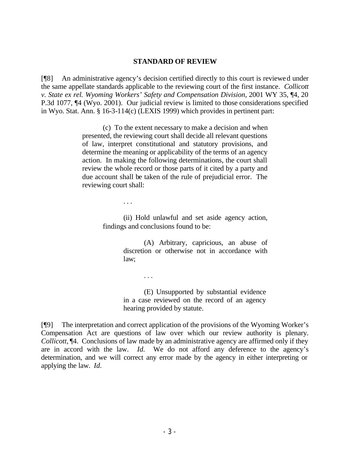#### **STANDARD OF REVIEW**

[¶8] An administrative agency's decision certified directly to this court is reviewed under the same appellate standards applicable to the reviewing court of the first instance. *Collicott v. State ex rel. Wyoming Workers' Safety and Compensation Division*, 2001 WY 35, ¶4, 20 P.3d 1077, ¶4 (Wyo. 2001). Our judicial review is limited to those considerations specified in Wyo. Stat. Ann. § 16-3-114(c) (LEXIS 1999) which provides in pertinent part:

> (c) To the extent necessary to make a decision and when presented, the reviewing court shall decide all relevant questions of law, interpret constitutional and statutory provisions, and determine the meaning or applicability of the terms of an agency action. In making the following determinations, the court shall review the whole record or those parts of it cited by a party and due account shall be taken of the rule of prejudicial error. The reviewing court shall:

> > . . .

. . .

(ii) Hold unlawful and set aside agency action, findings and conclusions found to be:

> (A) Arbitrary, capricious, an abuse of discretion or otherwise not in accordance with law;

(E) Unsupported by substantial evidence in a case reviewed on the record of an agency hearing provided by statute.

[¶9] The interpretation and correct application of the provisions of the Wyoming Worker's Compensation Act are questions of law over which our review authority is plenary. *Collicott,* ¶4. Conclusions of law made by an administrative agency are affirmed only if they are in accord with the law. *Id.* We do not afford any deference to the agency's determination, and we will correct any error made by the agency in either interpreting or applying the law. *Id.*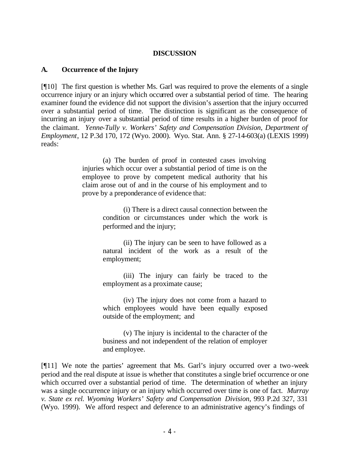# **DISCUSSION**

# **A. Occurrence of the Injury**

[¶10] The first question is whether Ms. Garl was required to prove the elements of a single occurrence injury or an injury which occurred over a substantial period of time. The hearing examiner found the evidence did not support the division's assertion that the injury occurred over a substantial period of time. The distinction is significant as the consequence of incurring an injury over a substantial period of time results in a higher burden of proof for the claimant. *Yenne-Tully v. Workers' Safety and Compensation Division, Department of Employment*, 12 P.3d 170, 172 (Wyo. 2000). Wyo. Stat. Ann. § 27-14-603(a) (LEXIS 1999) reads:

> (a) The burden of proof in contested cases involving injuries which occur over a substantial period of time is on the employee to prove by competent medical authority that his claim arose out of and in the course of his employment and to prove by a preponderance of evidence that:

> > (i) There is a direct causal connection between the condition or circumstances under which the work is performed and the injury;

> > (ii) The injury can be seen to have followed as a natural incident of the work as a result of the employment;

> > (iii) The injury can fairly be traced to the employment as a proximate cause;

> > (iv) The injury does not come from a hazard to which employees would have been equally exposed outside of the employment; and

> > (v) The injury is incidental to the character of the business and not independent of the relation of employer and employee.

[¶11] We note the parties' agreement that Ms. Garl's injury occurred over a two-week period and the real dispute at issue is whether that constitutes a single brief occurrence or one which occurred over a substantial period of time. The determination of whether an injury was a single occurrence injury or an injury which occurred over time is one of fact. *Murray v. State ex rel. Wyoming Workers' Safety and Compensation Division*, 993 P.2d 327, 331 (Wyo. 1999). We afford respect and deference to an administrative agency's findings of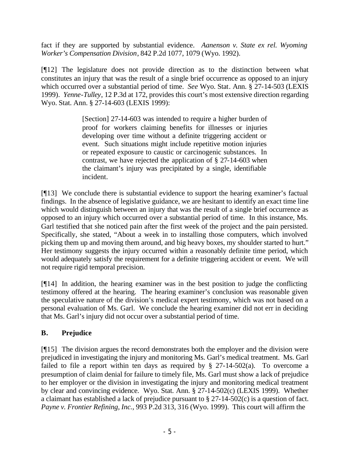fact if they are supported by substantial evidence. *Aanenson v. State ex rel. Wyoming Worker's Compensation Division*, 842 P.2d 1077, 1079 (Wyo. 1992).

[¶12] The legislature does not provide direction as to the distinction between what constitutes an injury that was the result of a single brief occurrence as opposed to an injury which occurred over a substantial period of time. *See* Wyo. Stat. Ann. § 27-14-503 (LEXIS 1999). *Yenne-Tulley*, 12 P.3d at 172, provides this court's most extensive direction regarding Wyo. Stat. Ann. § 27-14-603 (LEXIS 1999):

> [Section] 27-14-603 was intended to require a higher burden of proof for workers claiming benefits for illnesses or injuries developing over time without a definite triggering accident or event. Such situations might include repetitive motion injuries or repeated exposure to caustic or carcinogenic substances. In contrast, we have rejected the application of § 27-14-603 when the claimant's injury was precipitated by a single, identifiable incident.

[¶13] We conclude there is substantial evidence to support the hearing examiner's factual findings. In the absence of legislative guidance, we are hesitant to identify an exact time line which would distinguish between an injury that was the result of a single brief occurrence as opposed to an injury which occurred over a substantial period of time. In this instance, Ms. Garl testified that she noticed pain after the first week of the project and the pain persisted. Specifically, she stated, "About a week in to installing those computers, which involved picking them up and moving them around, and big heavy boxes, my shoulder started to hurt." Her testimony suggests the injury occurred within a reasonably definite time period, which would adequately satisfy the requirement for a definite triggering accident or event. We will not require rigid temporal precision.

[¶14] In addition, the hearing examiner was in the best position to judge the conflicting testimony offered at the hearing. The hearing examiner's conclusion was reasonable given the speculative nature of the division's medical expert testimony, which was not based on a personal evaluation of Ms. Garl. We conclude the hearing examiner did not err in deciding that Ms. Garl's injury did not occur over a substantial period of time.

# **B. Prejudice**

[¶15] The division argues the record demonstrates both the employer and the division were prejudiced in investigating the injury and monitoring Ms. Garl's medical treatment. Ms. Garl failed to file a report within ten days as required by  $\S$  27-14-502(a). To overcome a presumption of claim denial for failure to timely file, Ms. Garl must show a lack of prejudice to her employer or the division in investigating the injury and monitoring medical treatment by clear and convincing evidence. Wyo. Stat. Ann. § 27-14-502(c) (LEXIS 1999). Whether a claimant has established a lack of prejudice pursuant to § 27-14-502(c) is a question of fact. *Payne v. Frontier Refining, Inc.*, 993 P.2d 313, 316 (Wyo. 1999). This court will affirm the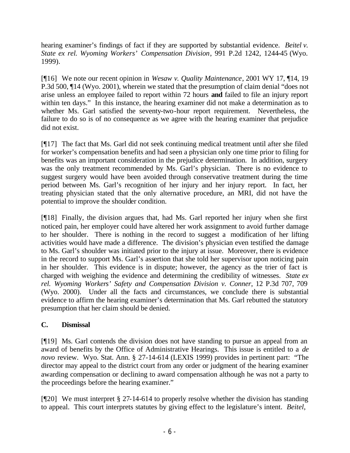hearing examiner's findings of fact if they are supported by substantial evidence. *Beitel v. State ex rel. Wyoming Workers' Compensation Division*, 991 P.2d 1242, 1244-45 (Wyo. 1999).

[¶16] We note our recent opinion in *Wesaw v. Quality Maintenance*, 2001 WY 17, ¶14, 19 P.3d 500, ¶14 (Wyo. 2001), wherein we stated that the presumption of claim denial "does not arise unless an employee failed to report within 72 hours **and** failed to file an injury report within ten days." In this instance, the hearing examiner did not make a determination as to whether Ms. Garl satisfied the seventy-two-hour report requirement. Nevertheless, the failure to do so is of no consequence as we agree with the hearing examiner that prejudice did not exist.

[¶17] The fact that Ms. Garl did not seek continuing medical treatment until after she filed for worker's compensation benefits and had seen a physician only one time prior to filing for benefits was an important consideration in the prejudice determination. In addition, surgery was the only treatment recommended by Ms. Garl's physician. There is no evidence to suggest surgery would have been avoided through conservative treatment during the time period between Ms. Garl's recognition of her injury and her injury report. In fact, her treating physician stated that the only alternative procedure, an MRI, did not have the potential to improve the shoulder condition.

[¶18] Finally, the division argues that, had Ms. Garl reported her injury when she first noticed pain, her employer could have altered her work assignment to avoid further damage to her shoulder. There is nothing in the record to suggest a modification of her lifting activities would have made a difference. The division's physician even testified the damage to Ms. Garl's shoulder was initiated prior to the injury at issue. Moreover, there is evidence in the record to support Ms. Garl's assertion that she told her supervisor upon noticing pain in her shoulder. This evidence is in dispute; however, the agency as the trier of fact is charged with weighing the evidence and determining the credibility of witnesses. *State ex rel. Wyoming Workers' Safety and Compensation Division v. Conner*, 12 P.3d 707, 709 (Wyo. 2000). Under all the facts and circumstances, we conclude there is substantial evidence to affirm the hearing examiner's determination that Ms. Garl rebutted the statutory presumption that her claim should be denied.

# **C. Dismissal**

[¶19] Ms. Garl contends the division does not have standing to pursue an appeal from an award of benefits by the Office of Administrative Hearings. This issue is entitled to a *de novo* review. Wyo. Stat. Ann. § 27-14-614 (LEXIS 1999) provides in pertinent part: "The director may appeal to the district court from any order or judgment of the hearing examiner awarding compensation or declining to award compensation although he was not a party to the proceedings before the hearing examiner."

[¶20] We must interpret § 27-14-614 to properly resolve whether the division has standing to appeal. This court interprets statutes by giving effect to the legislature's intent. *Beitel*,